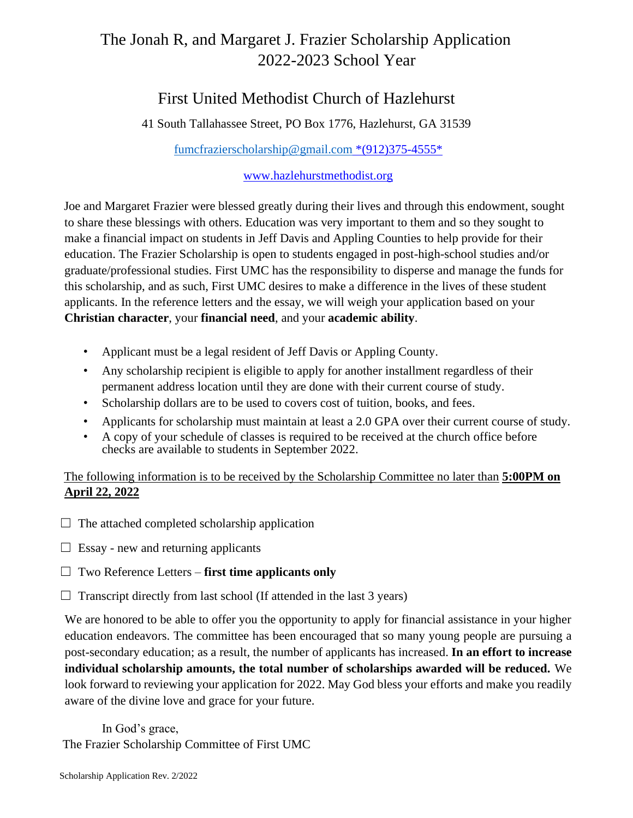# The Jonah R, and Margaret J. Frazier Scholarship Application 2022-2023 School Year

## First United Methodist Church of Hazlehurst

41 South Tallahassee Street, PO Box 1776, Hazlehurst, GA 31539

fumcfrazierscholarship@gmail.com \*(912)375-4555\*

#### www.hazlehurstmethodist.org

Joe and Margaret Frazier were blessed greatly during their lives and through this endowment, sought to share these blessings with others. Education was very important to them and so they sought to make a financial impact on students in Jeff Davis and Appling Counties to help provide for their education. The Frazier Scholarship is open to students engaged in post-high-school studies and/or graduate/professional studies. First UMC has the responsibility to disperse and manage the funds for this scholarship, and as such, First UMC desires to make a difference in the lives of these student applicants. In the reference letters and the essay, we will weigh your application based on your **Christian character**, your **financial need**, and your **academic ability**.

- Applicant must be a legal resident of Jeff Davis or Appling County.
- Any scholarship recipient is eligible to apply for another installment regardless of their permanent address location until they are done with their current course of study.
- Scholarship dollars are to be used to covers cost of tuition, books, and fees.
- Applicants for scholarship must maintain at least a 2.0 GPA over their current course of study.
- A copy of your schedule of classes is required to be received at the church office before checks are available to students in September 2022.

The following information is to be received by the Scholarship Committee no later than **5:00PM on April 22, 2022**

- $\Box$  The attached completed scholarship application
- $\Box$  Essay new and returning applicants
- ☐ Two Reference Letters **first time applicants only**
- $\Box$  Transcript directly from last school (If attended in the last 3 years)

We are honored to be able to offer you the opportunity to apply for financial assistance in your higher education endeavors. The committee has been encouraged that so many young people are pursuing a post-secondary education; as a result, the number of applicants has increased. **In an effort to increase individual scholarship amounts, the total number of scholarships awarded will be reduced.** We look forward to reviewing your application for 2022. May God bless your efforts and make you readily aware of the divine love and grace for your future.

In God's grace, The Frazier Scholarship Committee of First UMC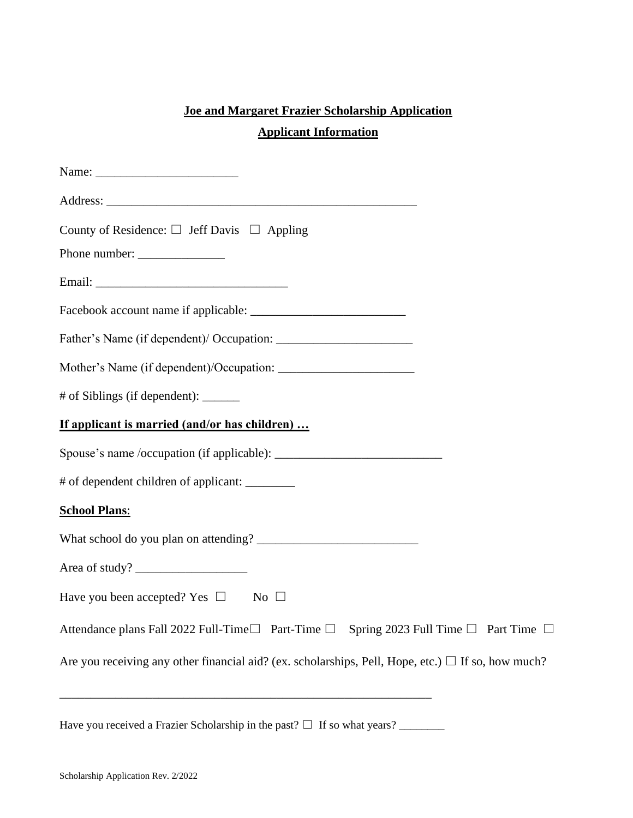## **Joe and Margaret Frazier Scholarship Application**

### **Applicant Information**

| County of Residence: $\square$ Jeff Davis $\square$ Appling                                                                                                                                                                     |
|---------------------------------------------------------------------------------------------------------------------------------------------------------------------------------------------------------------------------------|
|                                                                                                                                                                                                                                 |
|                                                                                                                                                                                                                                 |
|                                                                                                                                                                                                                                 |
|                                                                                                                                                                                                                                 |
|                                                                                                                                                                                                                                 |
| # of Siblings (if dependent): ______                                                                                                                                                                                            |
| If applicant is married (and/or has children)                                                                                                                                                                                   |
|                                                                                                                                                                                                                                 |
| # of dependent children of applicant: ________                                                                                                                                                                                  |
| <b>School Plans:</b>                                                                                                                                                                                                            |
|                                                                                                                                                                                                                                 |
| Area of study?                                                                                                                                                                                                                  |
| Have you been accepted? Yes $\square$ No $\square$                                                                                                                                                                              |
| Attendance plans Fall 2022 Full-Time □ Part-Time □ Spring 2023 Full Time □ Part Time □                                                                                                                                          |
| Are you receiving any other financial aid? (ex. scholarships, Pell, Hope, etc.) $\Box$ If so, how much?<br><u> 2000 - 2000 - 2000 - 2000 - 2000 - 2000 - 2000 - 2000 - 2000 - 2000 - 2000 - 2000 - 2000 - 2000 - 2000 - 200</u> |
|                                                                                                                                                                                                                                 |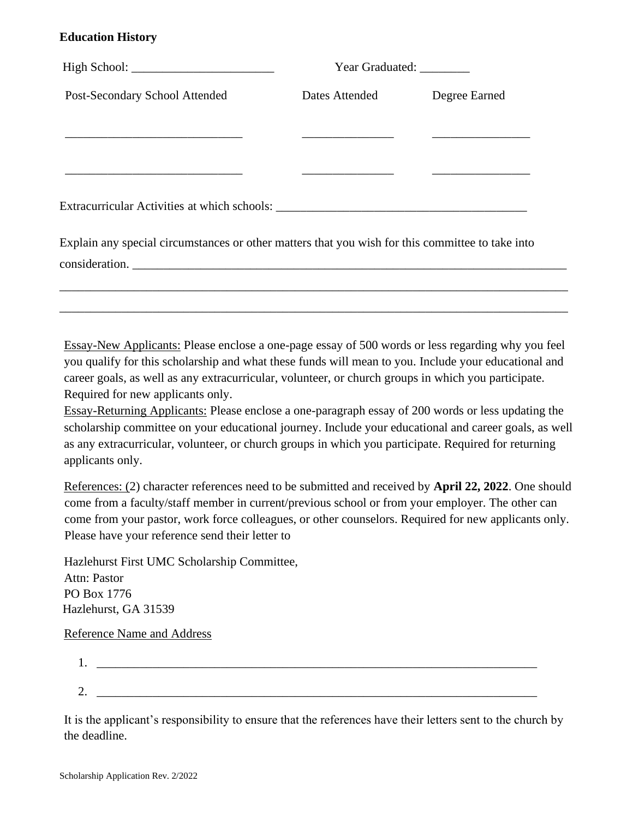#### **Education History**

|                                                                                                  | Year Graduated: _________ |               |
|--------------------------------------------------------------------------------------------------|---------------------------|---------------|
| Post-Secondary School Attended                                                                   | Dates Attended            | Degree Earned |
|                                                                                                  |                           |               |
|                                                                                                  |                           |               |
|                                                                                                  |                           |               |
| Explain any special circumstances or other matters that you wish for this committee to take into |                           |               |
| consideration.                                                                                   |                           |               |
|                                                                                                  |                           |               |
|                                                                                                  |                           |               |
|                                                                                                  |                           |               |

Essay-New Applicants: Please enclose a one-page essay of 500 words or less regarding why you feel you qualify for this scholarship and what these funds will mean to you. Include your educational and career goals, as well as any extracurricular, volunteer, or church groups in which you participate. Required for new applicants only.

Essay-Returning Applicants: Please enclose a one-paragraph essay of 200 words or less updating the scholarship committee on your educational journey. Include your educational and career goals, as well as any extracurricular, volunteer, or church groups in which you participate. Required for returning applicants only.

References: (2) character references need to be submitted and received by **April 22, 2022**. One should come from a faculty/staff member in current/previous school or from your employer. The other can come from your pastor, work force colleagues, or other counselors. Required for new applicants only. Please have your reference send their letter to

Hazlehurst First UMC Scholarship Committee, Attn: Pastor PO Box 1776 Hazlehurst, GA 31539

Reference Name and Address

| . .     |  |  |  |
|---------|--|--|--|
|         |  |  |  |
| ⌒<br>∠. |  |  |  |

It is the applicant's responsibility to ensure that the references have their letters sent to the church by the deadline.